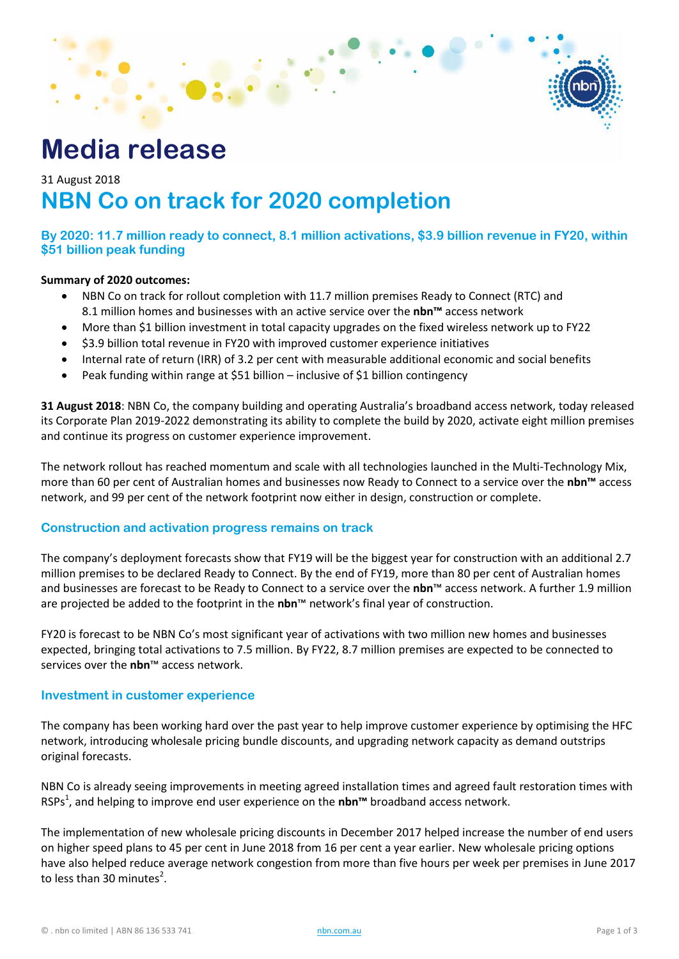

# **Media release**

# 31 August 2018 **NBN Co on track for 2020 completion**

**By 2020: 11.7 million ready to connect, 8.1 million activations, \$3.9 billion revenue in FY20, within \$51 billion peak funding**

#### **Summary of 2020 outcomes:**

- NBN Co on track for rollout completion with 11.7 million premises Ready to Connect (RTC) and 8.1 million homes and businesses with an active service over the **nbn™** access network
- More than \$1 billion investment in total capacity upgrades on the fixed wireless network up to FY22
- \$3.9 billion total revenue in FY20 with improved customer experience initiatives
- Internal rate of return (IRR) of 3.2 per cent with measurable additional economic and social benefits
- Peak funding within range at \$51 billion inclusive of \$1 billion contingency

**31 August 2018**: NBN Co, the company building and operating Australia's broadband access network, today released its Corporate Plan 2019-2022 demonstrating its ability to complete the build by 2020, activate eight million premises and continue its progress on customer experience improvement.

The network rollout has reached momentum and scale with all technologies launched in the Multi-Technology Mix, more than 60 per cent of Australian homes and businesses now Ready to Connect to a service over the **nbn™** access network, and 99 per cent of the network footprint now either in design, construction or complete.

#### **Construction and activation progress remains on track**

The company's deployment forecasts show that FY19 will be the biggest year for construction with an additional 2.7 million premises to be declared Ready to Connect. By the end of FY19, more than 80 per cent of Australian homes and businesses are forecast to be Ready to Connect to a service over the **nbn**™ access network. A further 1.9 million are projected be added to the footprint in the **nbn**™ network's final year of construction.

FY20 is forecast to be NBN Co's most significant year of activations with two million new homes and businesses expected, bringing total activations to 7.5 million. By FY22, 8.7 million premises are expected to be connected to services over the **nbn**™ access network.

#### **Investment in customer experience**

The company has been working hard over the past year to help improve customer experience by optimising the HFC network, introducing wholesale pricing bundle discounts, and upgrading network capacity as demand outstrips original forecasts.

NBN Co is already seeing improvements in meeting agreed installation times and agreed fault restoration times with RSPs<sup>1</sup>, and helping to improve end user experience on the nbn™ broadband access network.

The implementation of new wholesale pricing discounts in December 2017 helped increase the number of end users on higher speed plans to 45 per cent in June 2018 from 16 per cent a year earlier. New wholesale pricing options have also helped reduce average network congestion from more than five hours per week per premises in June 2017 to less than 30 minutes<sup>2</sup>.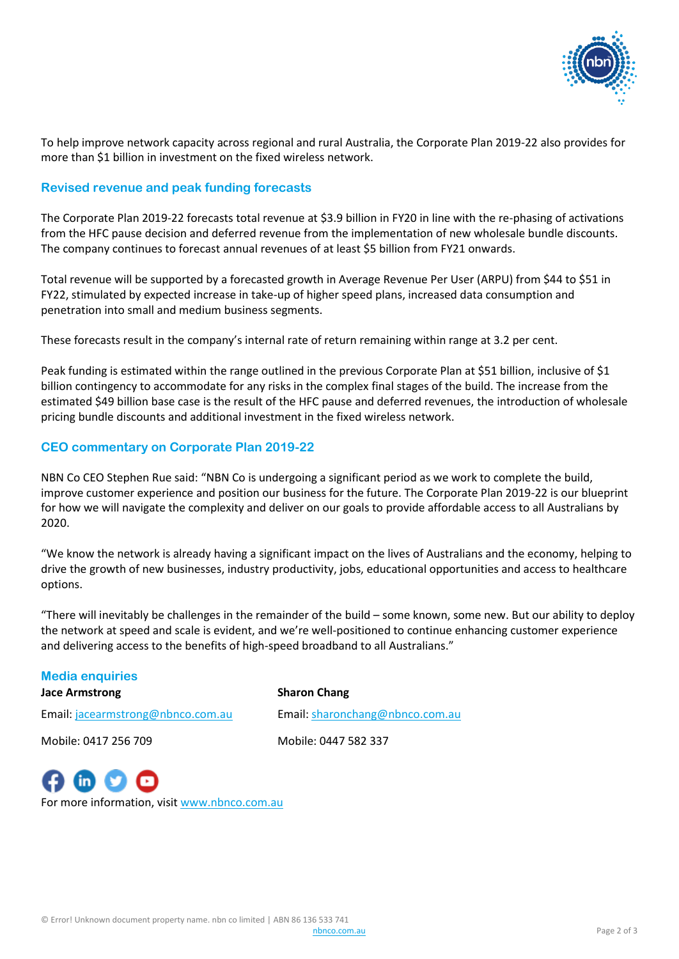

To help improve network capacity across regional and rural Australia, the Corporate Plan 2019-22 also provides for more than \$1 billion in investment on the fixed wireless network.

## **Revised revenue and peak funding forecasts**

The Corporate Plan 2019-22 forecasts total revenue at \$3.9 billion in FY20 in line with the re-phasing of activations from the HFC pause decision and deferred revenue from the implementation of new wholesale bundle discounts. The company continues to forecast annual revenues of at least \$5 billion from FY21 onwards.

Total revenue will be supported by a forecasted growth in Average Revenue Per User (ARPU) from \$44 to \$51 in FY22, stimulated by expected increase in take-up of higher speed plans, increased data consumption and penetration into small and medium business segments.

These forecasts result in the company's internal rate of return remaining within range at 3.2 per cent.

Peak funding is estimated within the range outlined in the previous Corporate Plan at \$51 billion, inclusive of \$1 billion contingency to accommodate for any risks in the complex final stages of the build. The increase from the estimated \$49 billion base case is the result of the HFC pause and deferred revenues, the introduction of wholesale pricing bundle discounts and additional investment in the fixed wireless network.

## **CEO commentary on Corporate Plan 2019-22**

NBN Co CEO Stephen Rue said: "NBN Co is undergoing a significant period as we work to complete the build, improve customer experience and position our business for the future. The Corporate Plan 2019-22 is our blueprint for how we will navigate the complexity and deliver on our goals to provide affordable access to all Australians by 2020.

"We know the network is already having a significant impact on the lives of Australians and the economy, helping to drive the growth of new businesses, industry productivity, jobs, educational opportunities and access to healthcare options.

"There will inevitably be challenges in the remainder of the build – some known, some new. But our ability to deploy the network at speed and scale is evident, and we're well-positioned to continue enhancing customer experience and delivering access to the benefits of high-speed broadband to all Australians."

#### **Media enquiries**

**Jace Armstrong Sharon Chang**

Email: [jacearmstrong@nbnco.com.au](mailto:jacearmstrong@nbnco.com.au) Email[: sharonchang@nbnco.com.au](mailto:sharonchang@nbnco.com.au)

 $\mathbf{in}$   $\mathbf{v}$ 

Mobile: 0417 256 709 Mobile: 0447 582 337